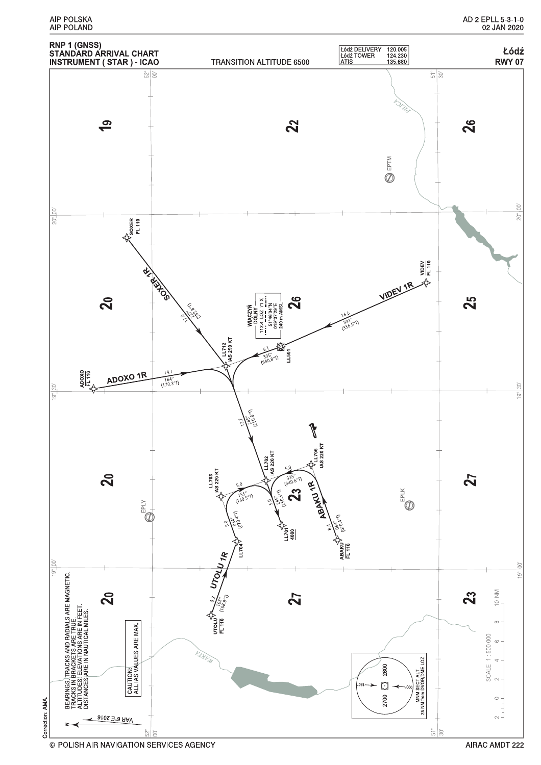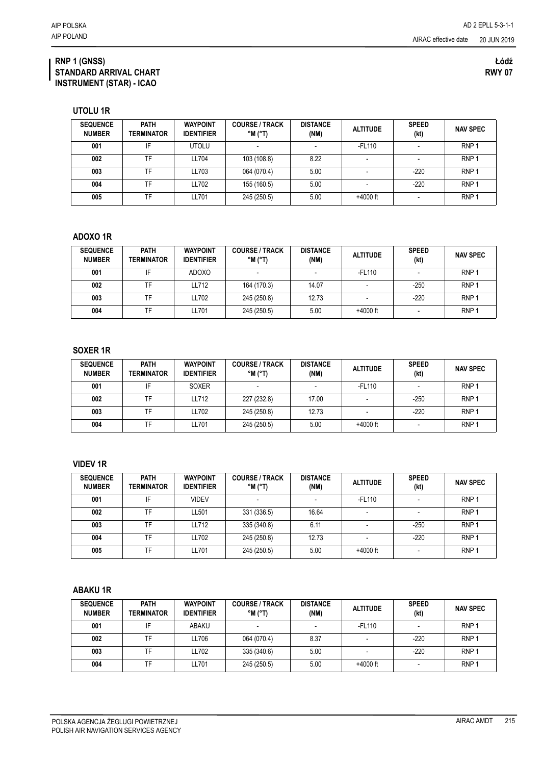| <b>SEQUENCE</b><br><b>NUMBER</b> | <b>PATH</b><br><b>TERMINATOR</b> | <b>WAYPOINT</b><br><b>IDENTIFIER</b> | <b>COURSE / TRACK</b><br>$^{\circ}$ M $^{\circ}$ T) | <b>DISTANCE</b><br>(NM) | <b>ALTITUDE</b> | <b>SPEED</b><br>(kt) | <b>NAV SPEC</b>  |
|----------------------------------|----------------------------------|--------------------------------------|-----------------------------------------------------|-------------------------|-----------------|----------------------|------------------|
| 001                              | IF                               | <b>UTOLU</b>                         |                                                     |                         | -FL110          |                      | RNP <sub>1</sub> |
| 002                              | TF                               | LL704                                | 103 (108.8)                                         | 8.22                    |                 |                      | RNP <sup>-</sup> |
| 003                              | TF                               | LL703                                | 064 (070.4)                                         | 5.00                    |                 | $-220$               | RNP <sub>1</sub> |
| 004                              | TF                               | LL702                                | 155 (160.5)                                         | 5.00                    |                 | $-220$               | RNP <sub>1</sub> |
| 005                              | TF                               | LL701                                | 245 (250.5)                                         | 5.00                    | $+4000$ ft      |                      | RNP '            |

## **ADOXO 1R**

| <b>SEQUENCE</b><br><b>NUMBER</b> | <b>PATH</b><br>TERMINATOR | <b>WAYPOINT</b><br><b>IDENTIFIER</b> | <b>COURSE / TRACK</b><br>$^{\circ}$ M ( $^{\circ}$ T) | <b>DISTANCE</b><br>(NM) | <b>ALTITUDE</b> | <b>SPEED</b><br>(kt) | <b>NAV SPEC</b>  |
|----------------------------------|---------------------------|--------------------------------------|-------------------------------------------------------|-------------------------|-----------------|----------------------|------------------|
| 001                              | IF                        | <b>ADOXO</b>                         |                                                       |                         | $-FL110$        |                      | RNP <sub>1</sub> |
| 002                              | TF                        | LL712                                | 164 (170.3)                                           | 14.07                   |                 | $-250$               | RNP <sub>1</sub> |
| 003                              | TF                        | LL702                                | 245 (250.8)                                           | 12.73                   |                 | $-220$               | RNP <sub>1</sub> |
| 004                              | TF                        | LL701                                | 245 (250.5)                                           | 5.00                    | $+4000$ ft      |                      | RNP <sub>1</sub> |

## **SOXER 1R**

| <b>SEQUENCE</b><br><b>NUMBER</b> | <b>PATH</b><br><b>TERMINATOR</b> | <b>WAYPOINT</b><br><b>IDENTIFIER</b> | <b>COURSE / TRACK</b><br>$^{\circ}$ M ( $^{\circ}$ T) | <b>DISTANCE</b><br>(NM) | <b>ALTITUDE</b> | <b>SPEED</b><br>(kt) | <b>NAV SPEC</b>  |
|----------------------------------|----------------------------------|--------------------------------------|-------------------------------------------------------|-------------------------|-----------------|----------------------|------------------|
| 001                              | IF                               | <b>SOXER</b>                         |                                                       |                         | $-FL110$        |                      | RNP <sub>1</sub> |
| 002                              | TF                               | LL712                                | 227 (232.8)                                           | 17.00                   |                 | $-250$               | RNP <sub>1</sub> |
| 003                              | TF                               | LL702                                | 245 (250.8)                                           | 12.73                   |                 | $-220$               | RNP <sub>1</sub> |
| 004                              | TF                               | LL701                                | 245 (250.5)                                           | 5.00                    | $+4000$ ft      |                      | RNP <sub>1</sub> |

## **VIDEV 1R**

| <b>SEQUENCE</b><br><b>NUMBER</b> | <b>PATH</b><br>TERMINATOR | <b>WAYPOINT</b><br><b>IDENTIFIER</b> | <b>COURSE / TRACK</b><br>$^{\circ}$ M ( $^{\circ}$ T) | <b>DISTANCE</b><br>(NM) | <b>ALTITUDE</b> | <b>SPEED</b><br>(kt) | <b>NAV SPEC</b>  |
|----------------------------------|---------------------------|--------------------------------------|-------------------------------------------------------|-------------------------|-----------------|----------------------|------------------|
| 001                              | IF                        | <b>VIDEV</b>                         |                                                       |                         | -FL110          |                      | RNP <sub>1</sub> |
| 002                              | TF                        | LL501                                | 331 (336.5)                                           | 16.64                   |                 |                      | RNP <sub>1</sub> |
| 003                              | TF                        | LL712                                | 335 (340.8)                                           | 6.11                    |                 | $-250$               | RNP <sub>1</sub> |
| 004                              | TF                        | LL702                                | 245 (250.8)                                           | 12.73                   |                 | $-220$               | RNP <sub>1</sub> |
| 005                              | TF                        | LL701                                | 245 (250.5)                                           | 5.00                    | $+4000$ ft      |                      | RNP <sub>1</sub> |

## **ABAKU 1R**

| <b>SEQUENCE</b><br><b>NUMBER</b> | <b>PATH</b><br>TERMINATOR | <b>WAYPOINT</b><br><b>IDENTIFIER</b> | <b>COURSE / TRACK</b><br>$^{\circ}$ M $^{\circ}$ T) | <b>DISTANCE</b><br>(NM) | <b>ALTITUDE</b> | <b>SPEED</b><br>(kt) | <b>NAV SPEC</b>  |
|----------------------------------|---------------------------|--------------------------------------|-----------------------------------------------------|-------------------------|-----------------|----------------------|------------------|
| 001                              | IF                        | ABAKU                                |                                                     |                         | $-FL110$        |                      | RNP <sub>1</sub> |
| 002                              | TF                        | LL706                                | 064 (070.4)                                         | 8.37                    |                 | $-220$               | RNP <sub>1</sub> |
| 003                              | TF                        | LL702                                | 335 (340.6)                                         | 5.00                    |                 | $-220$               | RNP <sub>1</sub> |
| 004                              | TF                        | LL701                                | 245 (250.5)                                         | 5.00                    | $+4000$ ft      |                      | RNP <sub>1</sub> |